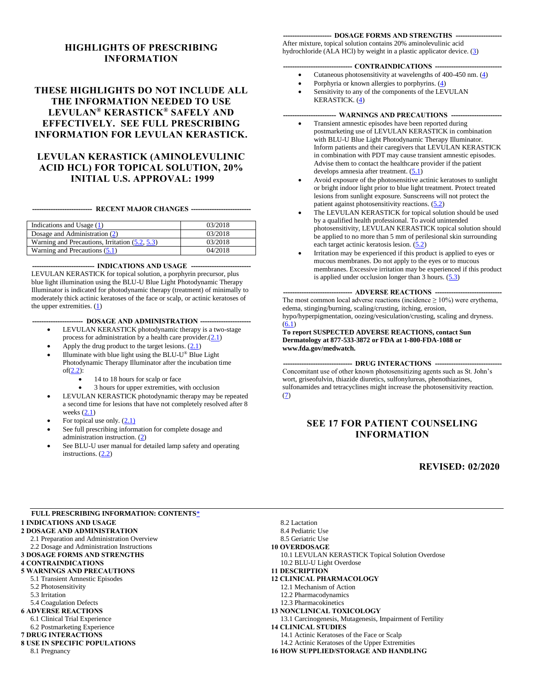#### **HIGHLIGHTS OF PRESCRIBING INFORMATION**

#### **THESE HIGHLIGHTS DO NOT INCLUDE ALL THE INFORMATION NEEDED TO USE LEVULAN® KERASTICK® SAFELY AND EFFECTIVELY. SEE FULL PRESCRIBING INFORMATION FOR LEVULAN KERASTICK.**

#### **LEVULAN KERASTICK (AMINOLEVULINIC ACID HCL) FOR TOPICAL SOLUTION, 20% INITIAL U.S. APPROVAL: 1999**

**-------------------------- RECENT MAJOR CHANGES --------------------------**

| Indications and Usage (1)                      | 03/2018 |
|------------------------------------------------|---------|
| Dosage and Administration (2)                  | 03/2018 |
| Warning and Precautions, Irritation (5.2, 5.3) | 03/2018 |
| Warning and Precautions $(5.1)$                | 04/2018 |

**--------------------------- INDICATIONS AND USAGE --------------------------**

LEVULAN KERASTICK for topical solution, a porphyrin precursor, plus blue light illumination using the BLU-U Blue Light Photodynamic Therapy Illuminator is indicated for photodynamic therapy (treatment) of minimally to moderately thick actinic keratoses of the face or scalp, or actinic keratoses of the upper extremities. [\(1\)](#page-1-0)

**--- DOSAGE AND ADMINISTRATION ----**

- LEVULAN KERASTICK photodynamic therapy is a two-stage process for administration by a health care provider.[\(2.1\)](#page-1-2)
- Apply the drug product to the target lesions.  $(2.1)$
- $\bullet$  Illuminate with blue light using the BLU-U® Blue Light Photodynamic Therapy Illuminator after the incubation time of[\(2.2\)](#page-2-0):
	- 14 to 18 hours for scalp or face
	- 3 hours for upper extremities, with occlusion
- LEVULAN KERASTICK photodynamic therapy may be repeated a second time for lesions that have not completely resolved after 8 weeks  $(2.1)$
- For topical use only.  $(2.1)$
- See full prescribing information for complete dosage and administration instruction. [\(2\)](#page-1-1)
- See BLU-U user manual for detailed lamp safety and operating instructions. [\(2.2\)](#page-2-0)

#### **--------------------- DOSAGE FORMS AND STRENGTHS --------------------**

After mixture, topical solution contains 20% aminolevulinic acid hydrochloride (ALA HCl) by weight in a plastic applicator device.  $(3)$ 

#### -- **CONTRAINDICATIONS** ---

- Cutaneous photosensitivity at wavelengths of 400-450 nm.  $(4)$
- Porphyria or known allergies to porphyrins. [\(4\)](#page-5-2)
- Sensitivity to any of the components of the LEVULAN KERASTICK. [\(4\)](#page-5-2)

#### - WARNINGS AND PRECAUTIONS -

- Transient amnestic episodes have been reported during postmarketing use of LEVULAN KERASTICK in combination with BLU-U Blue Light Photodynamic Therapy Illuminator. Inform patients and their caregivers that LEVULAN KERASTICK in combination with PDT may cause transient amnestic episodes. Advise them to contact the healthcare provider if the patient develops amnesia after treatment.  $(5.1)$
- Avoid exposure of the photosensitive actinic keratoses to sunlight or bright indoor light prior to blue light treatment. Protect treated lesions from sunlight exposure. Sunscreens will not protect the patient against photosensitivity reactions. [\(5.2\)](#page-6-0)
- The LEVULAN KERASTICK for topical solution should be used by a qualified health professional. To avoid unintended photosensitivity, LEVULAN KERASTICK topical solution should be applied to no more than 5 mm of perilesional skin surrounding each target actinic keratosis lesion. [\(5.2\)](#page-6-0)
- Irritation may be experienced if this product is applied to eyes or mucous membranes. Do not apply to the eyes or to mucous membranes. Excessive irritation may be experienced if this product is applied under occlusion longer than  $3$  hours.  $(5.3)$

#### **-- ADVERSE REACTIONS --**

The most common local adverse reactions (incidence  $\geq 10\%$ ) were erythema, edema, stinging/burning, scaling/crusting, itching, erosion, hypo/hyperpigmentation, oozing/vesiculation/crusting, scaling and dryness.  $(6.1)$ 

**To report SUSPECTED ADVERSE REACTIONS, contact Sun Dermatology at 877-533-3872 or FDA at 1-800-FDA-1088 or www.fda.gov/medwatch.**

-- DRUG INTERACTIONS --

Concomitant use of other known photosensitizing agents such as St. John's wort, griseofulvin, thiazide diuretics, sulfonylureas, phenothiazines, sulfonamides and tetracyclines might increase the photosensitivity reaction. [\(7\)](#page-9-0)

#### **SEE 17 FOR PATIENT COUNSELING INFORMATION**

#### **REVISED: 02/2020**

<span id="page-0-0"></span>

| <b>FULL PRESCRIBING INFORMATION: CONTENTS*</b> |                               |
|------------------------------------------------|-------------------------------|
| <b>1 INDICATIONS AND USAGE</b>                 | 8.2 Lactation                 |
| <b>2 DOSAGE AND ADMINISTRATION</b>             | 8.4 Pediatric Use             |
| 2.1 Preparation and Administration Overview    | 8.5 Geriatric Use             |
| 2.2 Dosage and Administration Instructions     | <b>10 OVERDOSAGE</b>          |
| <b>3 DOSAGE FORMS AND STRENGTHS</b>            | <b>10.1 LEVULAN KERASTIO</b>  |
| <b>4 CONTRAINDICATIONS</b>                     | 10.2 BLU-U Light Overdose     |
| <b>5 WARNINGS AND PRECAUTIONS</b>              | <b>11 DESCRIPTION</b>         |
| 5.1 Transient Amnestic Episodes                | <b>12 CLINICAL PHARMACOI</b>  |
| 5.2 Photosensitivity                           | 12.1 Mechanism of Action      |
| 5.3 Irritation                                 | 12.2 Pharmacodynamics         |
| 5.4 Coagulation Defects                        | 12.3 Pharmacokinetics         |
| <b>6 ADVERSE REACTIONS</b>                     | <b>13 NONCLINICAL TOXICO</b>  |
| 6.1 Clinical Trial Experience                  | 13.1 Carcinogenesis, Mutage   |
| 6.2 Postmarketing Experience                   | <b>14 CLINICAL STUDIES</b>    |
| <b>7 DRUG INTERACTIONS</b>                     | 14.1 Actinic Keratoses of the |
| <b>8 USE IN SPECIFIC POPULATIONS</b>           | 14.2 Actinic Keratoses of the |
| 8.1 Pregnancy                                  | <b>16 HOW SUPPLIED/STORA</b>  |

- **TICK Topical Solution Overdose**
- **0LOGY**
- 

#### **[13 NONCLINICAL TOXICOLOGY](#page-11-4)**

- agenesis, Impairment of Fertility
	-
	- the Face or Scalp
	- the Upper Extremities
- **16 AND HANDLING**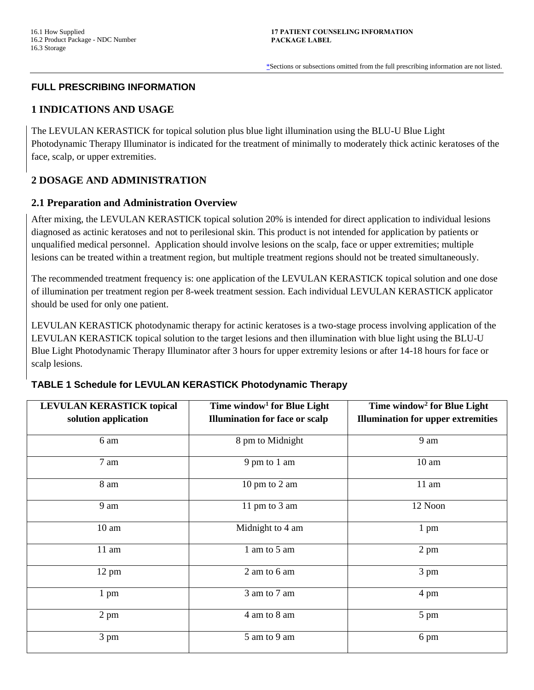[\\*S](#page-0-0)ections or subsections omitted from the full prescribing information are not listed.

### <span id="page-1-3"></span>**FULL PRESCRIBING INFORMATION**

### <span id="page-1-0"></span>**1 INDICATIONS AND USAGE**

The LEVULAN KERASTICK for topical solution plus blue light illumination using the BLU-U Blue Light Photodynamic Therapy Illuminator is indicated for the treatment of minimally to moderately thick actinic keratoses of the face, scalp, or upper extremities.

## <span id="page-1-1"></span>**2 DOSAGE AND ADMINISTRATION**

#### <span id="page-1-2"></span>**2.1 Preparation and Administration Overview**

After mixing, the LEVULAN KERASTICK topical solution 20% is intended for direct application to individual lesions diagnosed as actinic keratoses and not to perilesional skin. This product is not intended for application by patients or unqualified medical personnel. Application should involve lesions on the scalp, face or upper extremities; multiple lesions can be treated within a treatment region, but multiple treatment regions should not be treated simultaneously.

The recommended treatment frequency is: one application of the LEVULAN KERASTICK topical solution and one dose of illumination per treatment region per 8-week treatment session. Each individual LEVULAN KERASTICK applicator should be used for only one patient.

LEVULAN KERASTICK photodynamic therapy for actinic keratoses is a two-stage process involving application of the LEVULAN KERASTICK topical solution to the target lesions and then illumination with blue light using the BLU-U Blue Light Photodynamic Therapy Illuminator after 3 hours for upper extremity lesions or after 14-18 hours for face or scalp lesions.

#### **TABLE 1 Schedule for LEVULAN KERASTICK Photodynamic Therapy**

| <b>LEVULAN KERASTICK topical</b> | Time window <sup>1</sup> for Blue Light | Time window <sup>2</sup> for Blue Light   |
|----------------------------------|-----------------------------------------|-------------------------------------------|
| solution application             | <b>Illumination for face or scalp</b>   | <b>Illumination for upper extremities</b> |
| 6 am                             | 8 pm to Midnight                        | 9 am                                      |
| 7 am                             | 9 pm to 1 am                            | 10 <sub>am</sub>                          |
| 8 am                             | 10 pm to 2 am                           | $11$ am                                   |
| 9 am                             | 11 pm to 3 am                           | 12 Noon                                   |
| 10 <sub>am</sub>                 | Midnight to 4 am                        | $1 \text{ pm}$                            |
| $11$ am                          | 1 am to 5 am                            | $2 \text{ pm}$                            |
| 12 pm                            | 2 am to 6 am                            | 3 pm                                      |
| $1 \text{ pm}$                   | 3 am to 7 am                            | 4 pm                                      |
| $2 \text{ pm}$                   | 4 am to 8 am                            | 5 pm                                      |
| 3 pm                             | 5 am to 9 am                            | 6 pm                                      |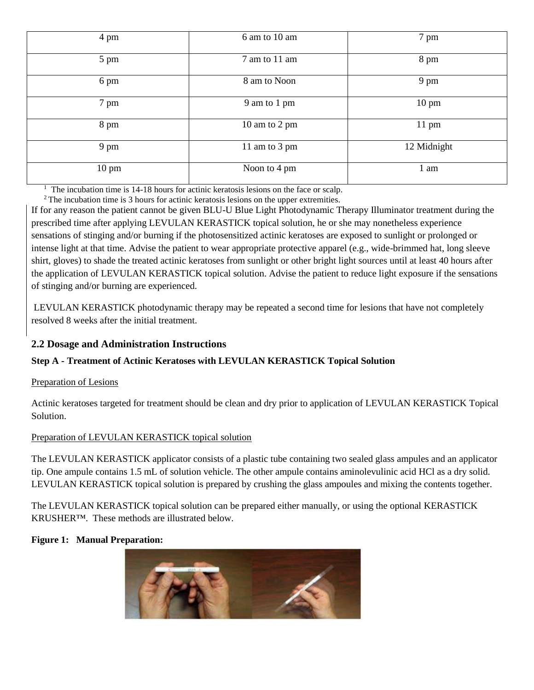| 4 pm            | 6 am to 10 am | 7 pm            |
|-----------------|---------------|-----------------|
| 5 pm            | 7 am to 11 am | 8 pm            |
| 6 pm            | 8 am to Noon  | 9 pm            |
| 7 pm            | 9 am to 1 pm  | $10 \text{ pm}$ |
| 8 pm            | 10 am to 2 pm | $11 \text{ pm}$ |
| 9 pm            | 11 am to 3 pm | 12 Midnight     |
| $10 \text{ pm}$ | Noon to 4 pm  | 1 am            |

1 The incubation time is 14-18 hours for actinic keratosis lesions on the face or scalp.

<sup>2</sup> The incubation time is 3 hours for actinic keratosis lesions on the upper extremities.

If for any reason the patient cannot be given BLU-U Blue Light Photodynamic Therapy Illuminator treatment during the prescribed time after applying LEVULAN KERASTICK topical solution, he or she may nonetheless experience sensations of stinging and/or burning if the photosensitized actinic keratoses are exposed to sunlight or prolonged or intense light at that time. Advise the patient to wear appropriate protective apparel (e.g., wide-brimmed hat, long sleeve shirt, gloves) to shade the treated actinic keratoses from sunlight or other bright light sources until at least 40 hours after the application of LEVULAN KERASTICK topical solution. Advise the patient to reduce light exposure if the sensations of stinging and/or burning are experienced.

LEVULAN KERASTICK photodynamic therapy may be repeated a second time for lesions that have not completely resolved 8 weeks after the initial treatment.

## <span id="page-2-0"></span>**2.2 Dosage and Administration Instructions**

## **Step A - Treatment of Actinic Keratoses with LEVULAN KERASTICK Topical Solution**

## Preparation of Lesions

Actinic keratoses targeted for treatment should be clean and dry prior to application of LEVULAN KERASTICK Topical Solution.

## Preparation of LEVULAN KERASTICK topical solution

The LEVULAN KERASTICK applicator consists of a plastic tube containing two sealed glass ampules and an applicator tip. One ampule contains 1.5 mL of solution vehicle. The other ampule contains aminolevulinic acid HCl as a dry solid. LEVULAN KERASTICK topical solution is prepared by crushing the glass ampoules and mixing the contents together.

The LEVULAN KERASTICK topical solution can be prepared either manually, or using the optional KERASTICK KRUSHER™. These methods are illustrated below.

## **Figure 1: Manual Preparation:**

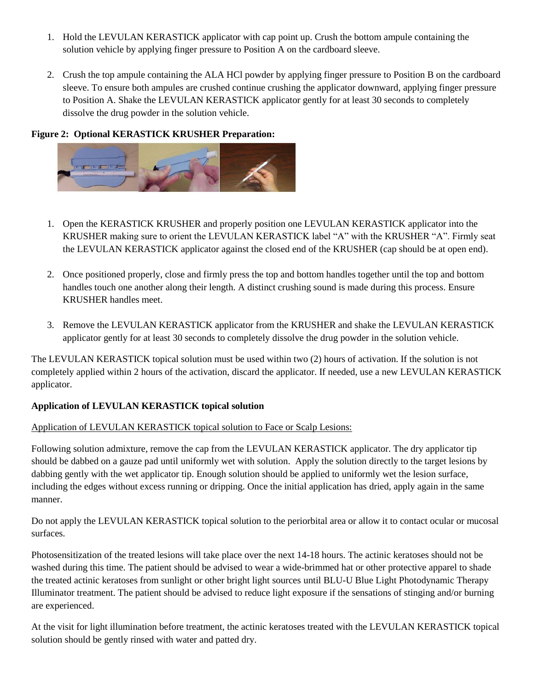- 1. Hold the LEVULAN KERASTICK applicator with cap point up. Crush the bottom ampule containing the solution vehicle by applying finger pressure to Position A on the cardboard sleeve.
- 2. Crush the top ampule containing the ALA HCl powder by applying finger pressure to Position B on the cardboard sleeve. To ensure both ampules are crushed continue crushing the applicator downward, applying finger pressure to Position A. Shake the LEVULAN KERASTICK applicator gently for at least 30 seconds to completely dissolve the drug powder in the solution vehicle.

### **Figure 2: Optional KERASTICK KRUSHER Preparation:**



- 1. Open the KERASTICK KRUSHER and properly position one LEVULAN KERASTICK applicator into the KRUSHER making sure to orient the LEVULAN KERASTICK label "A" with the KRUSHER "A". Firmly seat the LEVULAN KERASTICK applicator against the closed end of the KRUSHER (cap should be at open end).
- 2. Once positioned properly, close and firmly press the top and bottom handles together until the top and bottom handles touch one another along their length. A distinct crushing sound is made during this process. Ensure KRUSHER handles meet.
- 3. Remove the LEVULAN KERASTICK applicator from the KRUSHER and shake the LEVULAN KERASTICK applicator gently for at least 30 seconds to completely dissolve the drug powder in the solution vehicle.

The LEVULAN KERASTICK topical solution must be used within two (2) hours of activation. If the solution is not completely applied within 2 hours of the activation, discard the applicator. If needed, use a new LEVULAN KERASTICK applicator.

#### **Application of LEVULAN KERASTICK topical solution**

#### Application of LEVULAN KERASTICK topical solution to Face or Scalp Lesions:

Following solution admixture, remove the cap from the LEVULAN KERASTICK applicator. The dry applicator tip should be dabbed on a gauze pad until uniformly wet with solution. Apply the solution directly to the target lesions by dabbing gently with the wet applicator tip. Enough solution should be applied to uniformly wet the lesion surface, including the edges without excess running or dripping. Once the initial application has dried, apply again in the same manner.

Do not apply the LEVULAN KERASTICK topical solution to the periorbital area or allow it to contact ocular or mucosal surfaces.

Photosensitization of the treated lesions will take place over the next 14-18 hours. The actinic keratoses should not be washed during this time. The patient should be advised to wear a wide-brimmed hat or other protective apparel to shade the treated actinic keratoses from sunlight or other bright light sources until BLU-U Blue Light Photodynamic Therapy Illuminator treatment. The patient should be advised to reduce light exposure if the sensations of stinging and/or burning are experienced.

At the visit for light illumination before treatment, the actinic keratoses treated with the LEVULAN KERASTICK topical solution should be gently rinsed with water and patted dry.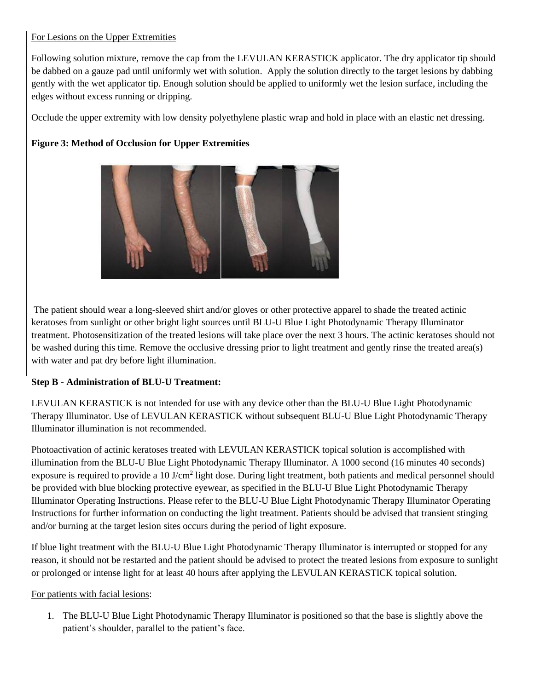#### For Lesions on the Upper Extremities

Following solution mixture, remove the cap from the LEVULAN KERASTICK applicator. The dry applicator tip should be dabbed on a gauze pad until uniformly wet with solution. Apply the solution directly to the target lesions by dabbing gently with the wet applicator tip. Enough solution should be applied to uniformly wet the lesion surface, including the edges without excess running or dripping.

Occlude the upper extremity with low density polyethylene plastic wrap and hold in place with an elastic net dressing.

## **Figure 3: Method of Occlusion for Upper Extremities**



The patient should wear a long-sleeved shirt and/or gloves or other protective apparel to shade the treated actinic keratoses from sunlight or other bright light sources until BLU-U Blue Light Photodynamic Therapy Illuminator treatment. Photosensitization of the treated lesions will take place over the next 3 hours. The actinic keratoses should not be washed during this time. Remove the occlusive dressing prior to light treatment and gently rinse the treated area(s) with water and pat dry before light illumination.

## **Step B - Administration of BLU-U Treatment:**

LEVULAN KERASTICK is not intended for use with any device other than the BLU-U Blue Light Photodynamic Therapy Illuminator. Use of LEVULAN KERASTICK without subsequent BLU-U Blue Light Photodynamic Therapy Illuminator illumination is not recommended.

Photoactivation of actinic keratoses treated with LEVULAN KERASTICK topical solution is accomplished with illumination from the BLU-U Blue Light Photodynamic Therapy Illuminator. A 1000 second (16 minutes 40 seconds) exposure is required to provide a 10 J/cm<sup>2</sup> light dose. During light treatment, both patients and medical personnel should be provided with blue blocking protective eyewear, as specified in the BLU-U Blue Light Photodynamic Therapy Illuminator Operating Instructions. Please refer to the BLU-U Blue Light Photodynamic Therapy Illuminator Operating Instructions for further information on conducting the light treatment. Patients should be advised that transient stinging and/or burning at the target lesion sites occurs during the period of light exposure.

If blue light treatment with the BLU-U Blue Light Photodynamic Therapy Illuminator is interrupted or stopped for any reason, it should not be restarted and the patient should be advised to protect the treated lesions from exposure to sunlight or prolonged or intense light for at least 40 hours after applying the LEVULAN KERASTICK topical solution.

#### For patients with facial lesions:

1. The BLU-U Blue Light Photodynamic Therapy Illuminator is positioned so that the base is slightly above the patient's shoulder, parallel to the patient's face.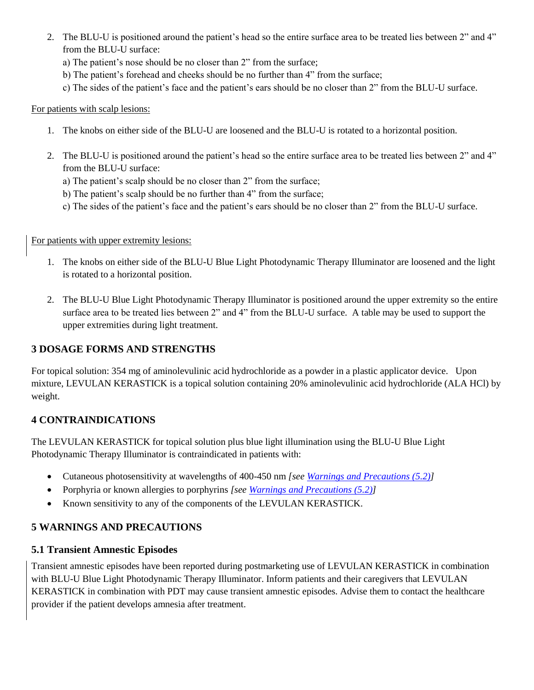- 2. The BLU-U is positioned around the patient's head so the entire surface area to be treated lies between 2" and 4" from the BLU-U surface:
	- a) The patient's nose should be no closer than 2" from the surface;
	- b) The patient's forehead and cheeks should be no further than 4" from the surface;
	- c) The sides of the patient's face and the patient's ears should be no closer than 2" from the BLU-U surface.

### For patients with scalp lesions:

- 1. The knobs on either side of the BLU-U are loosened and the BLU-U is rotated to a horizontal position.
- 2. The BLU-U is positioned around the patient's head so the entire surface area to be treated lies between 2" and 4" from the BLU-U surface:
	- a) The patient's scalp should be no closer than 2" from the surface;
	- b) The patient's scalp should be no further than 4" from the surface;
	- c) The sides of the patient's face and the patient's ears should be no closer than 2" from the BLU-U surface.

For patients with upper extremity lesions:

- 1. The knobs on either side of the BLU-U Blue Light Photodynamic Therapy Illuminator are loosened and the light is rotated to a horizontal position.
- 2. The BLU-U Blue Light Photodynamic Therapy Illuminator is positioned around the upper extremity so the entire surface area to be treated lies between 2" and 4" from the BLU-U surface. A table may be used to support the upper extremities during light treatment.

# <span id="page-5-1"></span>**3 DOSAGE FORMS AND STRENGTHS**

For topical solution: 354 mg of aminolevulinic acid hydrochloride as a powder in a plastic applicator device. Upon mixture, LEVULAN KERASTICK is a topical solution containing 20% aminolevulinic acid hydrochloride (ALA HCl) by weight.

# <span id="page-5-2"></span>**4 CONTRAINDICATIONS**

The LEVULAN KERASTICK for topical solution plus blue light illumination using the BLU-U Blue Light Photodynamic Therapy Illuminator is contraindicated in patients with:

- Cutaneous photosensitivity at wavelengths of 400-450 nm *[see [Warnings and Precautions \(5.2\)\]](#page-6-0)*
- Porphyria or known allergies to porphyrins *[see [Warnings and Precautions \(5.2\)\]](#page-6-0)*
- Known sensitivity to any of the components of the LEVULAN KERASTICK.

# <span id="page-5-3"></span>**5 WARNINGS AND PRECAUTIONS**

## <span id="page-5-0"></span>**5.1 Transient Amnestic Episodes**

Transient amnestic episodes have been reported during postmarketing use of LEVULAN KERASTICK in combination with BLU-U Blue Light Photodynamic Therapy Illuminator. Inform patients and their caregivers that LEVULAN KERASTICK in combination with PDT may cause transient amnestic episodes. Advise them to contact the healthcare provider if the patient develops amnesia after treatment.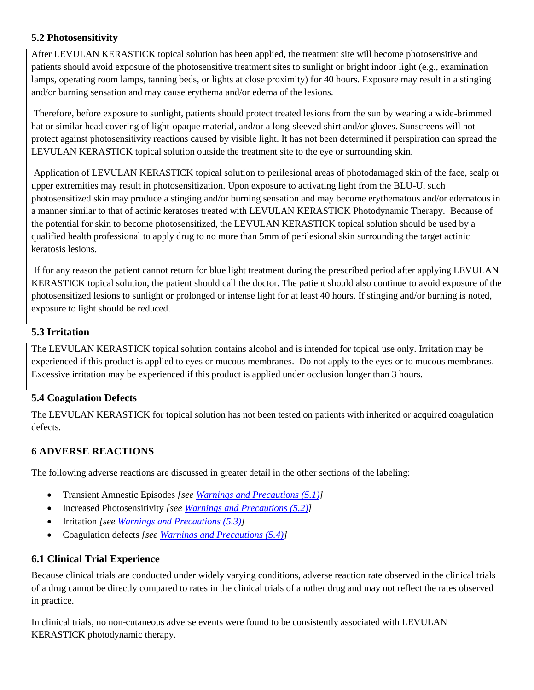## <span id="page-6-0"></span>**5.2 Photosensitivity**

After LEVULAN KERASTICK topical solution has been applied, the treatment site will become photosensitive and patients should avoid exposure of the photosensitive treatment sites to sunlight or bright indoor light (e.g., examination lamps, operating room lamps, tanning beds, or lights at close proximity) for 40 hours. Exposure may result in a stinging and/or burning sensation and may cause erythema and/or edema of the lesions.

Therefore, before exposure to sunlight, patients should protect treated lesions from the sun by wearing a wide-brimmed hat or similar head covering of light-opaque material, and/or a long-sleeved shirt and/or gloves. Sunscreens will not protect against photosensitivity reactions caused by visible light. It has not been determined if perspiration can spread the LEVULAN KERASTICK topical solution outside the treatment site to the eye or surrounding skin.

Application of LEVULAN KERASTICK topical solution to perilesional areas of photodamaged skin of the face, scalp or upper extremities may result in photosensitization. Upon exposure to activating light from the BLU-U, such photosensitized skin may produce a stinging and/or burning sensation and may become erythematous and/or edematous in a manner similar to that of actinic keratoses treated with LEVULAN KERASTICK Photodynamic Therapy. Because of the potential for skin to become photosensitized, the LEVULAN KERASTICK topical solution should be used by a qualified health professional to apply drug to no more than 5mm of perilesional skin surrounding the target actinic keratosis lesions.

If for any reason the patient cannot return for blue light treatment during the prescribed period after applying LEVULAN KERASTICK topical solution, the patient should call the doctor. The patient should also continue to avoid exposure of the photosensitized lesions to sunlight or prolonged or intense light for at least 40 hours. If stinging and/or burning is noted, exposure to light should be reduced.

## <span id="page-6-1"></span>**5.3 Irritation**

The LEVULAN KERASTICK topical solution contains alcohol and is intended for topical use only. Irritation may be experienced if this product is applied to eyes or mucous membranes. Do not apply to the eyes or to mucous membranes. Excessive irritation may be experienced if this product is applied under occlusion longer than 3 hours.

# <span id="page-6-3"></span>**5.4 Coagulation Defects**

The LEVULAN KERASTICK for topical solution has not been tested on patients with inherited or acquired coagulation defects.

# <span id="page-6-4"></span>**6 ADVERSE REACTIONS**

The following adverse reactions are discussed in greater detail in the other sections of the labeling:

- Transient Amnestic Episodes *[se[e Warnings and Precautions \(5.1\)\]](#page-5-0)*
- Increased Photosensitivity *[se[e Warnings and Precautions \(5.2\)\]](#page-6-0)*
- Irritation *[see [Warnings and Precautions \(5.3\)\]](#page-6-1)*
- Coagulation defects *[see [Warnings and Precautions \(5.4\)\]](#page-6-3)*

## <span id="page-6-2"></span>**6.1 Clinical Trial Experience**

Because clinical trials are conducted under widely varying conditions, adverse reaction rate observed in the clinical trials of a drug cannot be directly compared to rates in the clinical trials of another drug and may not reflect the rates observed in practice.

In clinical trials, no non-cutaneous adverse events were found to be consistently associated with LEVULAN KERASTICK photodynamic therapy.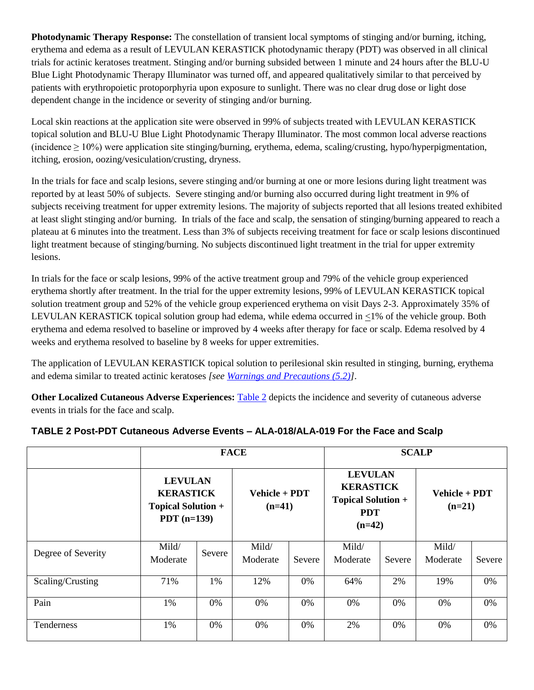**Photodynamic Therapy Response:** The constellation of transient local symptoms of stinging and/or burning, itching, erythema and edema as a result of LEVULAN KERASTICK photodynamic therapy (PDT) was observed in all clinical trials for actinic keratoses treatment. Stinging and/or burning subsided between 1 minute and 24 hours after the BLU-U Blue Light Photodynamic Therapy Illuminator was turned off, and appeared qualitatively similar to that perceived by patients with erythropoietic protoporphyria upon exposure to sunlight. There was no clear drug dose or light dose dependent change in the incidence or severity of stinging and/or burning.

Local skin reactions at the application site were observed in 99% of subjects treated with LEVULAN KERASTICK topical solution and BLU-U Blue Light Photodynamic Therapy Illuminator. The most common local adverse reactions (incidence  $\geq 10\%$ ) were application site stinging/burning, erythema, edema, scaling/crusting, hypo/hyperpigmentation, itching, erosion, oozing/vesiculation/crusting, dryness.

In the trials for face and scalp lesions, severe stinging and/or burning at one or more lesions during light treatment was reported by at least 50% of subjects. Severe stinging and/or burning also occurred during light treatment in 9% of subjects receiving treatment for upper extremity lesions. The majority of subjects reported that all lesions treated exhibited at least slight stinging and/or burning. In trials of the face and scalp, the sensation of stinging/burning appeared to reach a plateau at 6 minutes into the treatment. Less than 3% of subjects receiving treatment for face or scalp lesions discontinued light treatment because of stinging/burning. No subjects discontinued light treatment in the trial for upper extremity lesions.

In trials for the face or scalp lesions, 99% of the active treatment group and 79% of the vehicle group experienced erythema shortly after treatment. In the trial for the upper extremity lesions, 99% of LEVULAN KERASTICK topical solution treatment group and 52% of the vehicle group experienced erythema on visit Days 2-3. Approximately 35% of LEVULAN KERASTICK topical solution group had edema, while edema occurred in  $\leq$ 1% of the vehicle group. Both erythema and edema resolved to baseline or improved by 4 weeks after therapy for face or scalp. Edema resolved by 4 weeks and erythema resolved to baseline by 8 weeks for upper extremities.

The application of LEVULAN KERASTICK topical solution to perilesional skin resulted in stinging, burning, erythema and edema similar to treated actinic keratoses *[see [Warnings and Precautions \(5.2\)\]](#page-6-0)*.

**Other Localized Cutaneous Adverse Experiences:** [Table 2](#page-7-0) depicts the incidence and severity of cutaneous adverse events in trials for the face and scalp.

|                    | <b>FACE</b>                                                                      |        |                           |        |                                                                                           |        | <b>SCALP</b>              |        |
|--------------------|----------------------------------------------------------------------------------|--------|---------------------------|--------|-------------------------------------------------------------------------------------------|--------|---------------------------|--------|
|                    | <b>LEVULAN</b><br><b>KERASTICK</b><br><b>Topical Solution +</b><br>PDT $(n=139)$ |        | Vehicle + PDT<br>$(n=41)$ |        | <b>LEVULAN</b><br><b>KERASTICK</b><br><b>Topical Solution +</b><br><b>PDT</b><br>$(n=42)$ |        | Vehicle + PDT<br>$(n=21)$ |        |
| Degree of Severity | Mild/<br>Moderate                                                                | Severe | Mild/<br>Moderate         | Severe | Mild/<br>Moderate                                                                         | Severe | Mild/<br>Moderate         | Severe |
| Scaling/Crusting   | 71%                                                                              | 1%     | 12%                       | 0%     | 64%                                                                                       | 2%     | 19%                       | 0%     |
| Pain               | 1%                                                                               | $0\%$  | 0%                        | 0%     | 0%                                                                                        | $0\%$  | $0\%$                     | 0%     |
| Tenderness         | 1%                                                                               | 0%     | 0%                        | 0%     | 2%                                                                                        | 0%     | 0%                        | 0%     |

## <span id="page-7-0"></span>**TABLE 2 Post-PDT Cutaneous Adverse Events – ALA-018/ALA-019 For the Face and Scalp**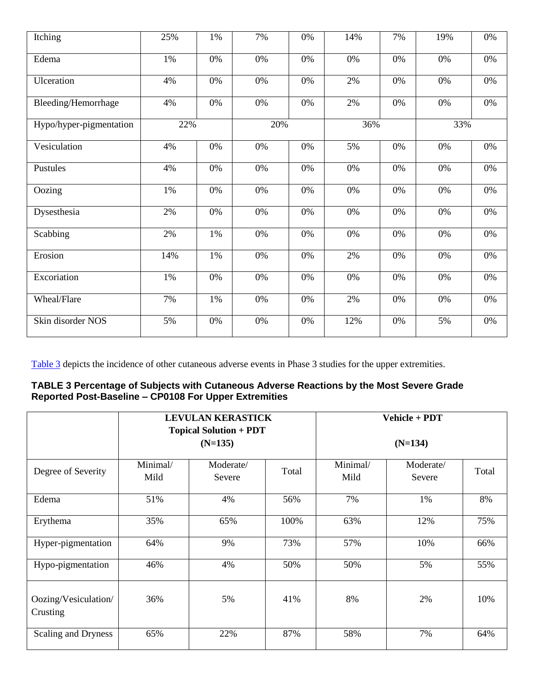| Itching                 | 25% | 1%    | 7%    | 0%    | 14% | 7% | 19%   | $0\%$ |
|-------------------------|-----|-------|-------|-------|-----|----|-------|-------|
| Edema                   | 1%  | 0%    | 0%    | 0%    | 0%  | 0% | 0%    | 0%    |
| Ulceration              | 4%  | $0\%$ | 0%    | 0%    | 2%  | 0% | 0%    | $0\%$ |
| Bleeding/Hemorrhage     | 4%  | 0%    | 0%    | 0%    | 2%  | 0% | $0\%$ | $0\%$ |
| Hypo/hyper-pigmentation | 22% |       | 20%   |       | 36% |    | 33%   |       |
| Vesiculation            | 4%  | 0%    | 0%    | 0%    | 5%  | 0% | 0%    | 0%    |
| Pustules                | 4%  | 0%    | 0%    | 0%    | 0%  | 0% | $0\%$ | $0\%$ |
| Oozing                  | 1%  | 0%    | 0%    | 0%    | 0%  | 0% | 0%    | $0\%$ |
| Dysesthesia             | 2%  | 0%    | 0%    | 0%    | 0%  | 0% | 0%    | 0%    |
| Scabbing                | 2%  | $1\%$ | $0\%$ | $0\%$ | 0%  | 0% | $0\%$ | $0\%$ |
| Erosion                 | 14% | 1%    | 0%    | 0%    | 2%  | 0% | 0%    | $0\%$ |
| Excoriation             | 1%  | 0%    | 0%    | 0%    | 0%  | 0% | 0%    | 0%    |
| Wheal/Flare             | 7%  | 1%    | 0%    | 0%    | 2%  | 0% | 0%    | $0\%$ |
| Skin disorder NOS       | 5%  | $0\%$ | $0\%$ | $0\%$ | 12% | 0% | 5%    | $0\%$ |

Table 3 depicts the incidence of other cutaneous adverse events in Phase 3 studies for the upper extremities.

#### **TABLE 3 Percentage of Subjects with Cutaneous Adverse Reactions by the Most Severe Grade Reported Post-Baseline – CP0108 For Upper Extremities**

|                                  | <b>LEVULAN KERASTICK</b><br><b>Topical Solution + PDT</b><br>$(N=135)$ |                     |       |                  | Vehicle + PDT<br>$(N=134)$ |       |
|----------------------------------|------------------------------------------------------------------------|---------------------|-------|------------------|----------------------------|-------|
|                                  |                                                                        |                     |       |                  |                            |       |
| Degree of Severity               | Minimal/<br>Mild                                                       | Moderate/<br>Severe | Total | Minimal/<br>Mild | Moderate/<br>Severe        | Total |
| Edema                            | 51%                                                                    | 4%                  | 56%   | 7%               | 1%                         | 8%    |
| Erythema                         | 35%                                                                    | 65%                 | 100%  | 63%              | 12%                        | 75%   |
| Hyper-pigmentation               | 64%                                                                    | 9%                  | 73%   | 57%              | 10%                        | 66%   |
| Hypo-pigmentation                | 46%                                                                    | 4%                  | 50%   | 50%              | 5%                         | 55%   |
| Oozing/Vesiculation/<br>Crusting | 36%                                                                    | 5%                  | 41%   | 8%               | 2%                         | 10%   |
| Scaling and Dryness              | 65%                                                                    | 22%                 | 87%   | 58%              | 7%                         | 64%   |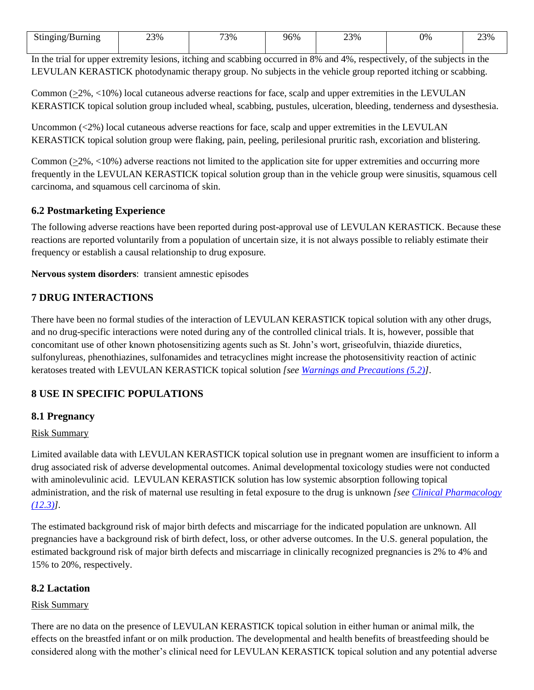| Stinging/<br>'Burnıng | 23%<br>____ | 73% | 96% | $23\%$<br>، ب | 0% | 23%<br>$\sim$ |
|-----------------------|-------------|-----|-----|---------------|----|---------------|

In the trial for upper extremity lesions, itching and scabbing occurred in 8% and 4%, respectively, of the subjects in the LEVULAN KERASTICK photodynamic therapy group. No subjects in the vehicle group reported itching or scabbing.

Common (>2%, <10%) local cutaneous adverse reactions for face, scalp and upper extremities in the LEVULAN KERASTICK topical solution group included wheal, scabbing, pustules, ulceration, bleeding, tenderness and dysesthesia.

Uncommon (<2%) local cutaneous adverse reactions for face, scalp and upper extremities in the LEVULAN KERASTICK topical solution group were flaking, pain, peeling, perilesional pruritic rash, excoriation and blistering.

Common  $(2\%, 10\%)$  adverse reactions not limited to the application site for upper extremities and occurring more frequently in the LEVULAN KERASTICK topical solution group than in the vehicle group were sinusitis, squamous cell carcinoma, and squamous cell carcinoma of skin.

## <span id="page-9-1"></span>**6.2 Postmarketing Experience**

The following adverse reactions have been reported during post-approval use of LEVULAN KERASTICK. Because these reactions are reported voluntarily from a population of uncertain size, it is not always possible to reliably estimate their frequency or establish a causal relationship to drug exposure.

**Nervous system disorders**: transient amnestic episodes

## <span id="page-9-0"></span>**7 DRUG INTERACTIONS**

There have been no formal studies of the interaction of LEVULAN KERASTICK topical solution with any other drugs, and no drug-specific interactions were noted during any of the controlled clinical trials. It is, however, possible that concomitant use of other known photosensitizing agents such as St. John's wort, griseofulvin, thiazide diuretics, sulfonylureas, phenothiazines, sulfonamides and tetracyclines might increase the photosensitivity reaction of actinic keratoses treated with LEVULAN KERASTICK topical solution *[see [Warnings and Precautions \(5.2\)\]](#page-6-0)*.

## <span id="page-9-2"></span>**8 USE IN SPECIFIC POPULATIONS**

#### <span id="page-9-3"></span>**8.1 Pregnancy**

#### Risk Summary

Limited available data with LEVULAN KERASTICK topical solution use in pregnant women are insufficient to inform a drug associated risk of adverse developmental outcomes. Animal developmental toxicology studies were not conducted with aminolevulinic acid. LEVULAN KERASTICK solution has low systemic absorption following topical administration, and the risk of maternal use resulting in fetal exposure to the drug is unknown *[see [Clinical Pharmacology](#page-11-3)  [\(12.3\)\]](#page-11-3).*

The estimated background risk of major birth defects and miscarriage for the indicated population are unknown. All pregnancies have a background risk of birth defect, loss, or other adverse outcomes. In the U.S. general population, the estimated background risk of major birth defects and miscarriage in clinically recognized pregnancies is 2% to 4% and 15% to 20%, respectively.

#### <span id="page-9-4"></span>**8.2 Lactation**

#### Risk Summary

There are no data on the presence of LEVULAN KERASTICK topical solution in either human or animal milk, the effects on the breastfed infant or on milk production. The developmental and health benefits of breastfeeding should be considered along with the mother's clinical need for LEVULAN KERASTICK topical solution and any potential adverse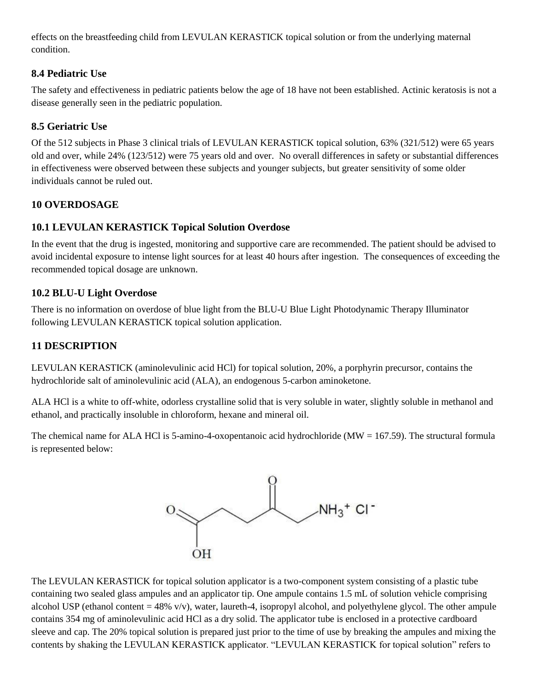effects on the breastfeeding child from LEVULAN KERASTICK topical solution or from the underlying maternal condition.

# <span id="page-10-0"></span>**8.4 Pediatric Use**

The safety and effectiveness in pediatric patients below the age of 18 have not been established. Actinic keratosis is not a disease generally seen in the pediatric population.

# <span id="page-10-1"></span>**8.5 Geriatric Use**

Of the 512 subjects in Phase 3 clinical trials of LEVULAN KERASTICK topical solution, 63% (321/512) were 65 years old and over, while 24% (123/512) were 75 years old and over. No overall differences in safety or substantial differences in effectiveness were observed between these subjects and younger subjects, but greater sensitivity of some older individuals cannot be ruled out.

# <span id="page-10-2"></span>**10 OVERDOSAGE**

# <span id="page-10-3"></span>**10.1 LEVULAN KERASTICK Topical Solution Overdose**

In the event that the drug is ingested, monitoring and supportive care are recommended. The patient should be advised to avoid incidental exposure to intense light sources for at least 40 hours after ingestion. The consequences of exceeding the recommended topical dosage are unknown.

# <span id="page-10-4"></span>**10.2 BLU-U Light Overdose**

There is no information on overdose of blue light from the BLU-U Blue Light Photodynamic Therapy Illuminator following LEVULAN KERASTICK topical solution application.

# <span id="page-10-5"></span>**11 DESCRIPTION**

LEVULAN KERASTICK (aminolevulinic acid HCl) for topical solution, 20%, a porphyrin precursor, contains the hydrochloride salt of aminolevulinic acid (ALA), an endogenous 5-carbon aminoketone.

ALA HCl is a white to off-white, odorless crystalline solid that is very soluble in water, slightly soluble in methanol and ethanol, and practically insoluble in chloroform, hexane and mineral oil.

The chemical name for ALA HCl is 5-amino-4-oxopentanoic acid hydrochloride ( $MW = 167.59$ ). The structural formula is represented below:



The LEVULAN KERASTICK for topical solution applicator is a two-component system consisting of a plastic tube containing two sealed glass ampules and an applicator tip. One ampule contains 1.5 mL of solution vehicle comprising alcohol USP (ethanol content  $= 48\%$  v/v), water, laureth-4, isopropyl alcohol, and polyethylene glycol. The other ampule contains 354 mg of aminolevulinic acid HCl as a dry solid. The applicator tube is enclosed in a protective cardboard sleeve and cap. The 20% topical solution is prepared just prior to the time of use by breaking the ampules and mixing the contents by shaking the LEVULAN KERASTICK applicator. "LEVULAN KERASTICK for topical solution" refers to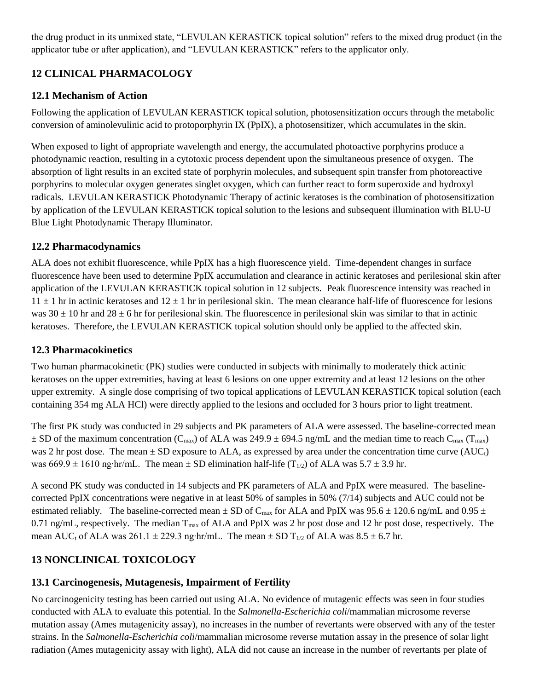the drug product in its unmixed state, "LEVULAN KERASTICK topical solution" refers to the mixed drug product (in the applicator tube or after application), and "LEVULAN KERASTICK" refers to the applicator only.

# <span id="page-11-0"></span>**12 CLINICAL PHARMACOLOGY**

## <span id="page-11-1"></span>**12.1 Mechanism of Action**

Following the application of LEVULAN KERASTICK topical solution, photosensitization occurs through the metabolic conversion of aminolevulinic acid to protoporphyrin IX (PpIX), a photosensitizer, which accumulates in the skin.

When exposed to light of appropriate wavelength and energy, the accumulated photoactive porphyrins produce a photodynamic reaction, resulting in a cytotoxic process dependent upon the simultaneous presence of oxygen. The absorption of light results in an excited state of porphyrin molecules, and subsequent spin transfer from photoreactive porphyrins to molecular oxygen generates singlet oxygen, which can further react to form superoxide and hydroxyl radicals. LEVULAN KERASTICK Photodynamic Therapy of actinic keratoses is the combination of photosensitization by application of the LEVULAN KERASTICK topical solution to the lesions and subsequent illumination with BLU-U Blue Light Photodynamic Therapy Illuminator.

## <span id="page-11-2"></span>**12.2 Pharmacodynamics**

ALA does not exhibit fluorescence, while PpIX has a high fluorescence yield. Time-dependent changes in surface fluorescence have been used to determine PpIX accumulation and clearance in actinic keratoses and perilesional skin after application of the LEVULAN KERASTICK topical solution in 12 subjects. Peak fluorescence intensity was reached in  $11 \pm 1$  hr in actinic keratoses and  $12 \pm 1$  hr in perilesional skin. The mean clearance half-life of fluorescence for lesions was  $30 \pm 10$  hr and  $28 \pm 6$  hr for perilesional skin. The fluorescence in perilesional skin was similar to that in actinic keratoses. Therefore, the LEVULAN KERASTICK topical solution should only be applied to the affected skin.

## <span id="page-11-3"></span>**12.3 Pharmacokinetics**

Two human pharmacokinetic (PK) studies were conducted in subjects with minimally to moderately thick actinic keratoses on the upper extremities, having at least 6 lesions on one upper extremity and at least 12 lesions on the other upper extremity. A single dose comprising of two topical applications of LEVULAN KERASTICK topical solution (each containing 354 mg ALA HCl) were directly applied to the lesions and occluded for 3 hours prior to light treatment.

The first PK study was conducted in 29 subjects and PK parameters of ALA were assessed. The baseline-corrected mean  $\pm$  SD of the maximum concentration (C<sub>max</sub>) of ALA was 249.9  $\pm$  694.5 ng/mL and the median time to reach C<sub>max</sub> (T<sub>max</sub>) was 2 hr post dose. The mean  $\pm$  SD exposure to ALA, as expressed by area under the concentration time curve (AUC<sub>t</sub>) was 669.9 ± 1610 ng⋅hr/mL. The mean ± SD elimination half-life (T<sub>1/2</sub>) of ALA was 5.7 ± 3.9 hr.

A second PK study was conducted in 14 subjects and PK parameters of ALA and PpIX were measured. The baselinecorrected PpIX concentrations were negative in at least 50% of samples in 50% (7/14) subjects and AUC could not be estimated reliably. The baseline-corrected mean  $\pm$  SD of C<sub>max</sub> for ALA and PpIX was 95.6  $\pm$  120.6 ng/mL and 0.95  $\pm$ 0.71 ng/mL, respectively. The median  $T_{max}$  of ALA and PpIX was 2 hr post dose and 12 hr post dose, respectively. The mean AUC<sub>t</sub> of ALA was 261.1 ± 229.3 ng⋅hr/mL. The mean ± SD T<sub>1/2</sub> of ALA was  $8.5 \pm 6.7$  hr.

# <span id="page-11-4"></span>**13 NONCLINICAL TOXICOLOGY**

# <span id="page-11-5"></span>**13.1 Carcinogenesis, Mutagenesis, Impairment of Fertility**

No carcinogenicity testing has been carried out using ALA. No evidence of mutagenic effects was seen in four studies conducted with ALA to evaluate this potential. In the *Salmonella-Escherichia coli*/mammalian microsome reverse mutation assay (Ames mutagenicity assay), no increases in the number of revertants were observed with any of the tester strains. In the *Salmonella-Escherichia coli*/mammalian microsome reverse mutation assay in the presence of solar light radiation (Ames mutagenicity assay with light), ALA did not cause an increase in the number of revertants per plate of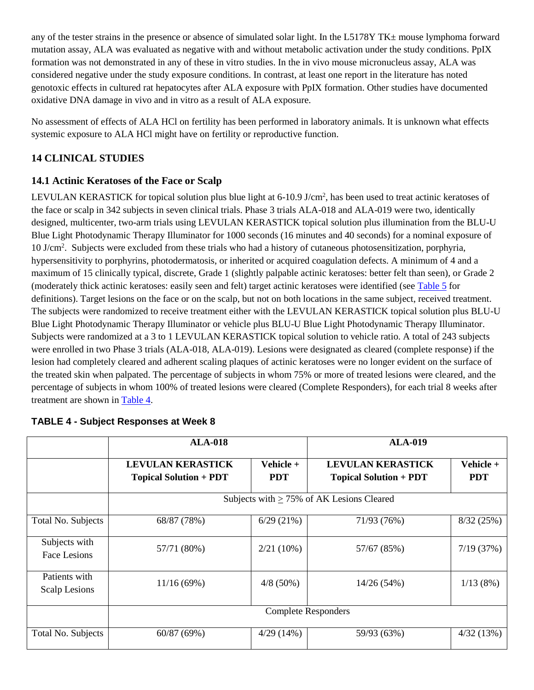any of the tester strains in the presence or absence of simulated solar light. In the  $L5178YTK\pm$  mouse lymphoma forward mutation assay, ALA was evaluated as negative with and without metabolic activation under the study conditions. PpIX formation was not demonstrated in any of these in vitro studies. In the in vivo mouse micronucleus assay, ALA was considered negative under the study exposure conditions. In contrast, at least one report in the literature has noted genotoxic effects in cultured rat hepatocytes after ALA exposure with PpIX formation. Other studies have documented oxidative DNA damage in vivo and in vitro as a result of ALA exposure.

No assessment of effects of ALA HCl on fertility has been performed in laboratory animals. It is unknown what effects systemic exposure to ALA HCl might have on fertility or reproductive function.

# <span id="page-12-0"></span>**14 CLINICAL STUDIES**

## <span id="page-12-1"></span>**14.1 Actinic Keratoses of the Face or Scalp**

LEVULAN KERASTICK for topical solution plus blue light at 6-10.9 J/cm<sup>2</sup>, has been used to treat actinic keratoses of the face or scalp in 342 subjects in seven clinical trials. Phase 3 trials ALA-018 and ALA-019 were two, identically designed, multicenter, two-arm trials using LEVULAN KERASTICK topical solution plus illumination from the BLU-U Blue Light Photodynamic Therapy Illuminator for 1000 seconds (16 minutes and 40 seconds) for a nominal exposure of 10 J/cm<sup>2</sup> . Subjects were excluded from these trials who had a history of cutaneous photosensitization, porphyria, hypersensitivity to porphyrins, photodermatosis, or inherited or acquired coagulation defects. A minimum of 4 and a maximum of 15 clinically typical, discrete, Grade 1 (slightly palpable actinic keratoses: better felt than seen), or Grade 2 (moderately thick actinic keratoses: easily seen and felt) target actinic keratoses were identified (see [Table 5](#page-13-0) for definitions). Target lesions on the face or on the scalp, but not on both locations in the same subject, received treatment. The subjects were randomized to receive treatment either with the LEVULAN KERASTICK topical solution plus BLU-U Blue Light Photodynamic Therapy Illuminator or vehicle plus BLU-U Blue Light Photodynamic Therapy Illuminator. Subjects were randomized at a 3 to 1 LEVULAN KERASTICK topical solution to vehicle ratio. A total of 243 subjects were enrolled in two Phase 3 trials (ALA-018, ALA-019). Lesions were designated as cleared (complete response) if the lesion had completely cleared and adherent scaling plaques of actinic keratoses were no longer evident on the surface of the treated skin when palpated. The percentage of subjects in whom 75% or more of treated lesions were cleared, and the percentage of subjects in whom 100% of treated lesions were cleared (Complete Responders), for each trial 8 weeks after treatment are shown in [Table 4.](#page-12-2)

|                                | <b>ALA-018</b>                                            |                            | <b>ALA-019</b>                                            |                         |
|--------------------------------|-----------------------------------------------------------|----------------------------|-----------------------------------------------------------|-------------------------|
|                                | <b>LEVULAN KERASTICK</b><br><b>Topical Solution + PDT</b> | Vehicle +<br><b>PDT</b>    | <b>LEVULAN KERASTICK</b><br><b>Topical Solution + PDT</b> | Vehicle +<br><b>PDT</b> |
|                                |                                                           |                            | Subjects with $\geq$ 75% of AK Lesions Cleared            |                         |
| Total No. Subjects             | 68/87 (78%)                                               | 6/29(21%)                  | 71/93 (76%)                                               | 8/32(25%)               |
| Subjects with<br>Face Lesions  | 57/71 (80%)                                               | $2/21(10\%)$               | 57/67 (85%)                                               | 7/19(37%)               |
| Patients with<br>Scalp Lesions | 11/16(69%)                                                | $4/8(50\%)$                | 14/26 (54%)                                               | 1/13(8%)                |
|                                |                                                           | <b>Complete Responders</b> |                                                           |                         |
| Total No. Subjects             | 60/87(69%)                                                | 4/29(14%)                  | 59/93 (63%)                                               | 4/32(13%)               |

## <span id="page-12-2"></span>**TABLE 4 - Subject Responses at Week 8**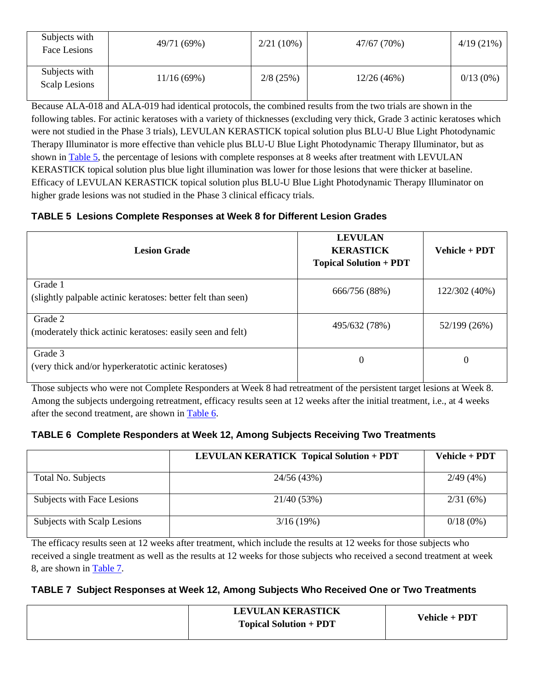| Subjects with<br>Face Lesions  | 49/71 (69%) | $2/21(10\%)$ | 47/67 (70%) | $4/19(21\%)$ |
|--------------------------------|-------------|--------------|-------------|--------------|
| Subjects with<br>Scalp Lesions | 11/16(69%)  | 2/8(25%)     | 12/26(46%)  | $0/13(0\%)$  |

Because ALA-018 and ALA-019 had identical protocols, the combined results from the two trials are shown in the following tables. For actinic keratoses with a variety of thicknesses (excluding very thick, Grade 3 actinic keratoses which were not studied in the Phase 3 trials), LEVULAN KERASTICK topical solution plus BLU-U Blue Light Photodynamic Therapy Illuminator is more effective than vehicle plus BLU-U Blue Light Photodynamic Therapy Illuminator, but as shown in [Table 5,](#page-13-0) the percentage of lesions with complete responses at 8 weeks after treatment with LEVULAN KERASTICK topical solution plus blue light illumination was lower for those lesions that were thicker at baseline. Efficacy of LEVULAN KERASTICK topical solution plus BLU-U Blue Light Photodynamic Therapy Illuminator on higher grade lesions was not studied in the Phase 3 clinical efficacy trials.

## <span id="page-13-0"></span>**TABLE 5 Lesions Complete Responses at Week 8 for Different Lesion Grades**

| <b>Lesion Grade</b>                                                     | <b>LEVULAN</b><br><b>KERASTICK</b><br><b>Topical Solution + PDT</b> | Vehicle + PDT |
|-------------------------------------------------------------------------|---------------------------------------------------------------------|---------------|
| Grade 1<br>(slightly palpable actinic keratoses: better felt than seen) | 666/756 (88%)                                                       | 122/302 (40%) |
| Grade 2<br>(moderately thick actinic keratoses: easily seen and felt)   | 495/632 (78%)                                                       | 52/199 (26%)  |
| Grade 3<br>(very thick and/or hyperkeratotic actinic keratoses)         | 0                                                                   | 0             |

Those subjects who were not Complete Responders at Week 8 had retreatment of the persistent target lesions at Week 8. Among the subjects undergoing retreatment, efficacy results seen at 12 weeks after the initial treatment, i.e., at 4 weeks after the second treatment, are shown in [Table 6.](#page-13-1)

# <span id="page-13-1"></span>**TABLE 6 Complete Responders at Week 12, Among Subjects Receiving Two Treatments**

|                             | <b>LEVULAN KERATICK Topical Solution + PDT</b> | Vehicle + PDT |
|-----------------------------|------------------------------------------------|---------------|
| Total No. Subjects          | 24/56 (43%)                                    | 2/49(4%)      |
| Subjects with Face Lesions  | 21/40(53%)                                     | 2/31(6%)      |
| Subjects with Scalp Lesions | 3/16(19%)                                      | $0/18(0\%)$   |

The efficacy results seen at 12 weeks after treatment, which include the results at 12 weeks for those subjects who received a single treatment as well as the results at 12 weeks for those subjects who received a second treatment at week 8, are shown in [Table](#page-13-2) 7.

# <span id="page-13-2"></span>**TABLE 7 Subject Responses at Week 12, Among Subjects Who Received One or Two Treatments**

| <b>LEVULAN KERASTICK</b><br><b>Topical Solution + PDT</b> | Vehicle + PDT |
|-----------------------------------------------------------|---------------|
|                                                           |               |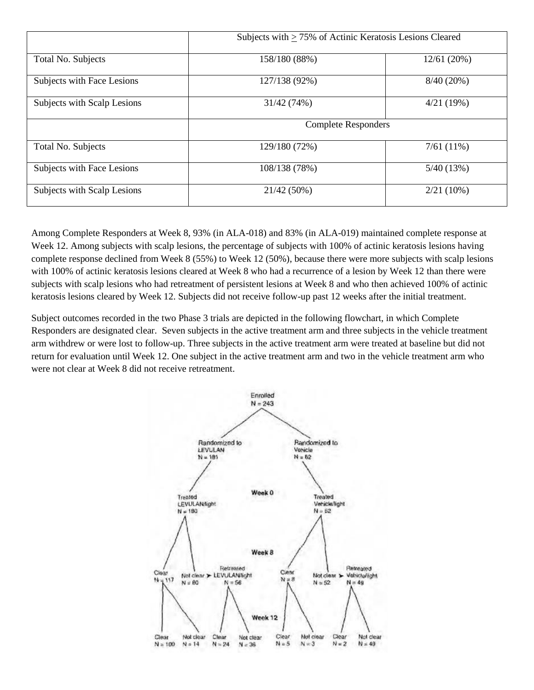|                             | Subjects with $\geq$ 75% of Actinic Keratosis Lesions Cleared |              |
|-----------------------------|---------------------------------------------------------------|--------------|
| Total No. Subjects          | 158/180 (88%)                                                 | 12/61 (20%)  |
| Subjects with Face Lesions  | 127/138 (92%)                                                 | $8/40(20\%)$ |
| Subjects with Scalp Lesions | 31/42 (74%)                                                   | 4/21(19%)    |
|                             | <b>Complete Responders</b>                                    |              |
| Total No. Subjects          | 129/180 (72%)                                                 | 7/61(11%)    |
| Subjects with Face Lesions  | 108/138 (78%)                                                 | 5/40(13%)    |
| Subjects with Scalp Lesions | 21/42 (50%)                                                   | $2/21(10\%)$ |

Among Complete Responders at Week 8, 93% (in ALA-018) and 83% (in ALA-019) maintained complete response at Week 12. Among subjects with scalp lesions, the percentage of subjects with 100% of actinic keratosis lesions having complete response declined from Week 8 (55%) to Week 12 (50%), because there were more subjects with scalp lesions with 100% of actinic keratosis lesions cleared at Week 8 who had a recurrence of a lesion by Week 12 than there were subjects with scalp lesions who had retreatment of persistent lesions at Week 8 and who then achieved 100% of actinic keratosis lesions cleared by Week 12. Subjects did not receive follow-up past 12 weeks after the initial treatment.

Subject outcomes recorded in the two Phase 3 trials are depicted in the following flowchart, in which Complete Responders are designated clear. Seven subjects in the active treatment arm and three subjects in the vehicle treatment arm withdrew or were lost to follow-up. Three subjects in the active treatment arm were treated at baseline but did not return for evaluation until Week 12. One subject in the active treatment arm and two in the vehicle treatment arm who were not clear at Week 8 did not receive retreatment.

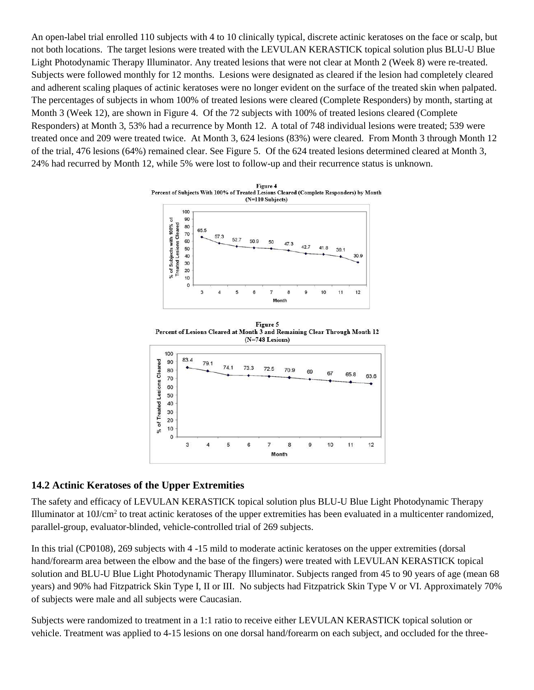An open-label trial enrolled 110 subjects with 4 to 10 clinically typical, discrete actinic keratoses on the face or scalp, but not both locations. The target lesions were treated with the LEVULAN KERASTICK topical solution plus BLU-U Blue Light Photodynamic Therapy Illuminator. Any treated lesions that were not clear at Month 2 (Week 8) were re-treated. Subjects were followed monthly for 12 months. Lesions were designated as cleared if the lesion had completely cleared and adherent scaling plaques of actinic keratoses were no longer evident on the surface of the treated skin when palpated. The percentages of subjects in whom 100% of treated lesions were cleared (Complete Responders) by month, starting at Month 3 (Week 12), are shown in Figure 4. Of the 72 subjects with 100% of treated lesions cleared (Complete Responders) at Month 3, 53% had a recurrence by Month 12. A total of 748 individual lesions were treated; 539 were treated once and 209 were treated twice. At Month 3, 624 lesions (83%) were cleared. From Month 3 through Month 12 of the trial, 476 lesions (64%) remained clear. See Figure 5. Of the 624 treated lesions determined cleared at Month 3, 24% had recurred by Month 12, while 5% were lost to follow-up and their recurrence status is unknown.



Figure 5 Percent of Lesions Cleared at Month 3 and Remaining Clear Through Month 12 (N=748 Lesions)



#### <span id="page-15-0"></span>**14.2 Actinic Keratoses of the Upper Extremities**

The safety and efficacy of LEVULAN KERASTICK topical solution plus BLU-U Blue Light Photodynamic Therapy Illuminator at  $10$ J/cm<sup>2</sup> to treat actinic keratoses of the upper extremities has been evaluated in a multicenter randomized, parallel-group, evaluator-blinded, vehicle-controlled trial of 269 subjects.

In this trial (CP0108), 269 subjects with 4 -15 mild to moderate actinic keratoses on the upper extremities (dorsal hand/forearm area between the elbow and the base of the fingers) were treated with LEVULAN KERASTICK topical solution and BLU-U Blue Light Photodynamic Therapy Illuminator. Subjects ranged from 45 to 90 years of age (mean 68 years) and 90% had Fitzpatrick Skin Type I, II or III. No subjects had Fitzpatrick Skin Type V or VI. Approximately 70% of subjects were male and all subjects were Caucasian.

Subjects were randomized to treatment in a 1:1 ratio to receive either LEVULAN KERASTICK topical solution or vehicle. Treatment was applied to 4-15 lesions on one dorsal hand/forearm on each subject, and occluded for the three-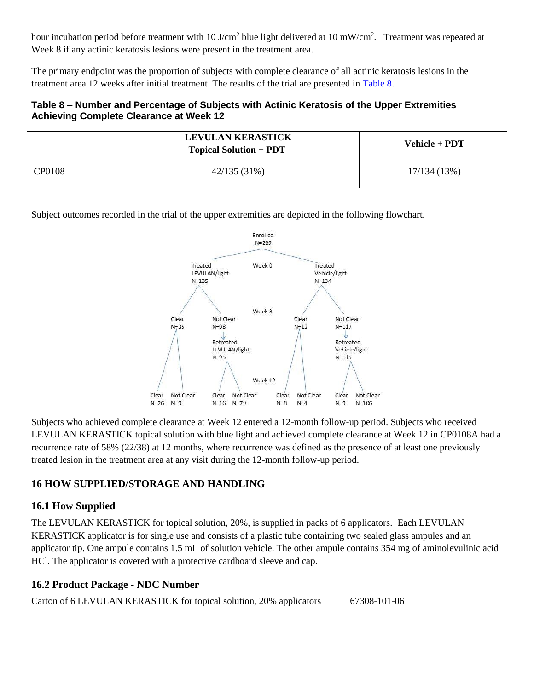hour incubation period before treatment with 10 J/cm<sup>2</sup> blue light delivered at 10 mW/cm<sup>2</sup>. Treatment was repeated at Week 8 if any actinic keratosis lesions were present in the treatment area.

The primary endpoint was the proportion of subjects with complete clearance of all actinic keratosis lesions in the treatment area 12 weeks after initial treatment. The results of the trial are presented in [Table 8.](#page-16-3)

### <span id="page-16-3"></span>**Table 8 – Number and Percentage of Subjects with Actinic Keratosis of the Upper Extremities Achieving Complete Clearance at Week 12**

|        | <b>LEVULAN KERASTICK</b><br><b>Topical Solution + PDT</b> | Vehicle + PDT |
|--------|-----------------------------------------------------------|---------------|
| CP0108 | 42/135 (31%)                                              | 17/134(13%)   |

Subject outcomes recorded in the trial of the upper extremities are depicted in the following flowchart.



Subjects who achieved complete clearance at Week 12 entered a 12-month follow-up period. Subjects who received LEVULAN KERASTICK topical solution with blue light and achieved complete clearance at Week 12 in CP0108A had a recurrence rate of 58% (22/38) at 12 months, where recurrence was defined as the presence of at least one previously treated lesion in the treatment area at any visit during the 12-month follow-up period.

# <span id="page-16-0"></span>**16 HOW SUPPLIED/STORAGE AND HANDLING**

## <span id="page-16-1"></span>**16.1 How Supplied**

The LEVULAN KERASTICK for topical solution, 20%, is supplied in packs of 6 applicators. Each LEVULAN KERASTICK applicator is for single use and consists of a plastic tube containing two sealed glass ampules and an applicator tip. One ampule contains 1.5 mL of solution vehicle. The other ampule contains 354 mg of aminolevulinic acid HCl. The applicator is covered with a protective cardboard sleeve and cap.

# <span id="page-16-2"></span>**16.2 Product Package - NDC Number**

Carton of 6 LEVULAN KERASTICK for topical solution, 20% applicators 67308-101-06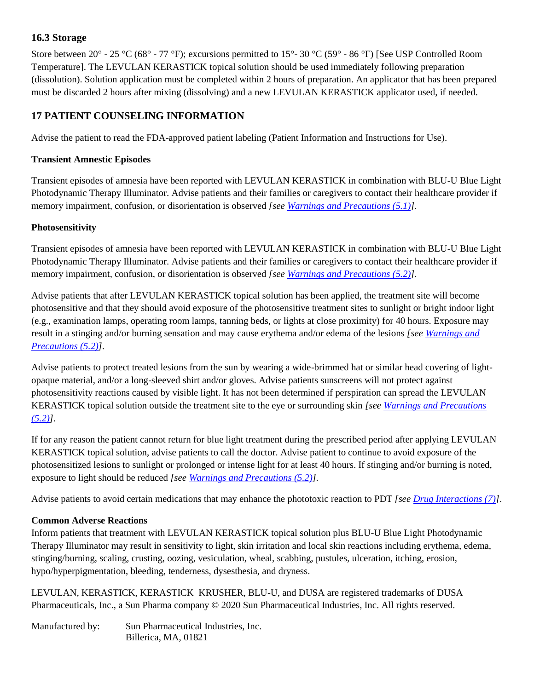## <span id="page-17-0"></span>**16.3 Storage**

Store between 20° - 25 °C (68° - 77 °F); excursions permitted to 15°- 30 °C (59° - 86 °F) [See USP Controlled Room Temperature]. The LEVULAN KERASTICK topical solution should be used immediately following preparation (dissolution). Solution application must be completed within 2 hours of preparation. An applicator that has been prepared must be discarded 2 hours after mixing (dissolving) and a new LEVULAN KERASTICK applicator used, if needed.

# <span id="page-17-1"></span>**17 PATIENT COUNSELING INFORMATION**

Advise the patient to read the FDA-approved patient labeling (Patient Information and Instructions for Use).

#### **Transient Amnestic Episodes**

Transient episodes of amnesia have been reported with LEVULAN KERASTICK in combination with BLU-U Blue Light Photodynamic Therapy Illuminator. Advise patients and their families or caregivers to contact their healthcare provider if memory impairment, confusion, or disorientation is observed *[see [Warnings and Precautions \(5.1\)\]](#page-5-0).*

#### **Photosensitivity**

Transient episodes of amnesia have been reported with LEVULAN KERASTICK in combination with BLU-U Blue Light Photodynamic Therapy Illuminator. Advise patients and their families or caregivers to contact their healthcare provider if memory impairment, confusion, or disorientation is observed *[see [Warnings and Precautions \(5.2\)\]](#page-6-0).*

Advise patients that after LEVULAN KERASTICK topical solution has been applied, the treatment site will become photosensitive and that they should avoid exposure of the photosensitive treatment sites to sunlight or bright indoor light (e.g., examination lamps, operating room lamps, tanning beds, or lights at close proximity) for 40 hours. Exposure may result in a stinging and/or burning sensation and may cause erythema and/or edema of the lesions *[see [Warnings and](#page-6-0)  [Precautions \(5.2\)\]](#page-6-0).*

Advise patients to protect treated lesions from the sun by wearing a wide-brimmed hat or similar head covering of lightopaque material, and/or a long-sleeved shirt and/or gloves. Advise patients sunscreens will not protect against photosensitivity reactions caused by visible light. It has not been determined if perspiration can spread the LEVULAN KERASTICK topical solution outside the treatment site to the eye or surrounding skin *[see [Warnings and Precautions](#page-6-0)  [\(5.2\)\]](#page-6-0).*

If for any reason the patient cannot return for blue light treatment during the prescribed period after applying LEVULAN KERASTICK topical solution, advise patients to call the doctor. Advise patient to continue to avoid exposure of the photosensitized lesions to sunlight or prolonged or intense light for at least 40 hours. If stinging and/or burning is noted, exposure to light should be reduced *[see [Warnings and Precautions \(5.2\)\]](#page-6-0).*

Advise patients to avoid certain medications that may enhance the phototoxic reaction to PDT *[se[e Drug Interactions \(7\)\]](#page-9-0)*.

#### **Common Adverse Reactions**

Inform patients that treatment with LEVULAN KERASTICK topical solution plus BLU-U Blue Light Photodynamic Therapy Illuminator may result in sensitivity to light, skin irritation and local skin reactions including erythema, edema, stinging/burning, scaling, crusting, oozing, vesiculation, wheal, scabbing, pustules, ulceration, itching, erosion, hypo/hyperpigmentation, bleeding, tenderness, dysesthesia, and dryness.

LEVULAN, KERASTICK, KERASTICK KRUSHER, BLU-U, and DUSA are registered trademarks of DUSA Pharmaceuticals, Inc., a Sun Pharma company © 2020 Sun Pharmaceutical Industries, Inc. All rights reserved.

Manufactured by: Sun Pharmaceutical Industries, Inc. Billerica, MA, 01821